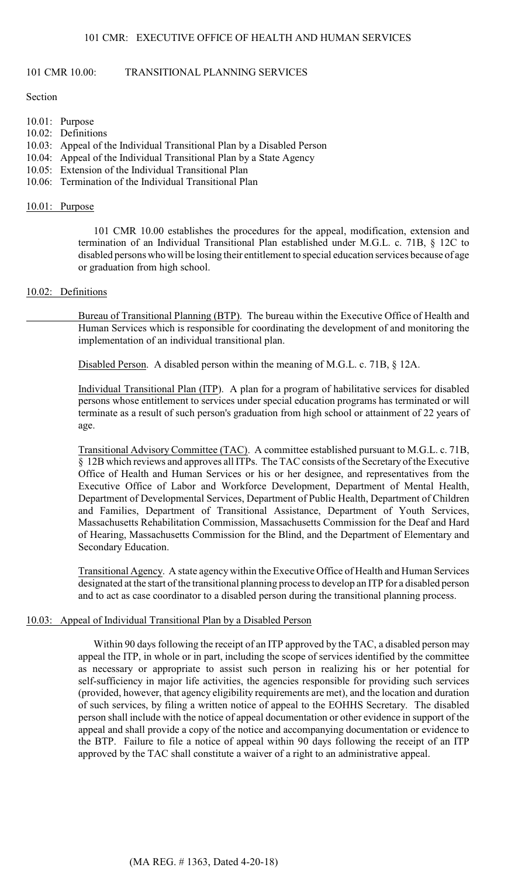### 101 CMR 10.00: TRANSITIONAL PLANNING SERVICES

Section

- 10.01: Purpose
- 10.02: Definitions
- 10.03: Appeal of the Individual Transitional Plan by a Disabled Person
- 10.04: Appeal of the Individual Transitional Plan by a State Agency
- 10.05: Extension of the Individual Transitional Plan
- 10.06: Termination of the Individual Transitional Plan

#### 10.01: Purpose

 disabled persons who will be losing their entitlement to special education services because of age 101 CMR 10.00 establishes the procedures for the appeal, modification, extension and termination of an Individual Transitional Plan established under M.G.L. c. 71B, § 12C to or graduation from high school.

# 10.02: Definitions

Bureau of Transitional Planning (BTP). The bureau within the Executive Office of Health and Human Services which is responsible for coordinating the development of and monitoring the implementation of an individual transitional plan.

Disabled Person. A disabled person within the meaning of M.G.L. c. 71B, § 12A.

Individual Transitional Plan (ITP). A plan for a program of habilitative services for disabled persons whose entitlement to services under special education programs has terminated or will terminate as a result of such person's graduation from high school or attainment of 22 years of age.

 Transitional Advisory Committee (TAC). A committee established pursuant to M.G.L. c. 71B, Office of Health and Human Services or his or her designee, and representatives from the § 12B which reviews and approves all ITPs. The TAC consists of the Secretary of the Executive Executive Office of Labor and Workforce Development, Department of Mental Health, Department of Developmental Services, Department of Public Health, Department of Children and Families, Department of Transitional Assistance, Department of Youth Services, Massachusetts Rehabilitation Commission, Massachusetts Commission for the Deaf and Hard of Hearing, Massachusetts Commission for the Blind, and the Department of Elementary and Secondary Education.

Transitional Agency. A state agency within the Executive Office of Health and Human Services designated at the start of the transitional planning process to develop an ITP for a disabled person and to act as case coordinator to a disabled person during the transitional planning process.

#### 10.03: Appeal of Individual Transitional Plan by a Disabled Person

 as necessary or appropriate to assist such person in realizing his or her potential for Within 90 days following the receipt of an ITP approved by the TAC, a disabled person may appeal the ITP, in whole or in part, including the scope of services identified by the committee self-sufficiency in major life activities, the agencies responsible for providing such services (provided, however, that agency eligibility requirements are met), and the location and duration of such services, by filing a written notice of appeal to the EOHHS Secretary. The disabled person shall include with the notice of appeal documentation or other evidence in support of the appeal and shall provide a copy of the notice and accompanying documentation or evidence to the BTP. Failure to file a notice of appeal within 90 days following the receipt of an ITP approved by the TAC shall constitute a waiver of a right to an administrative appeal.